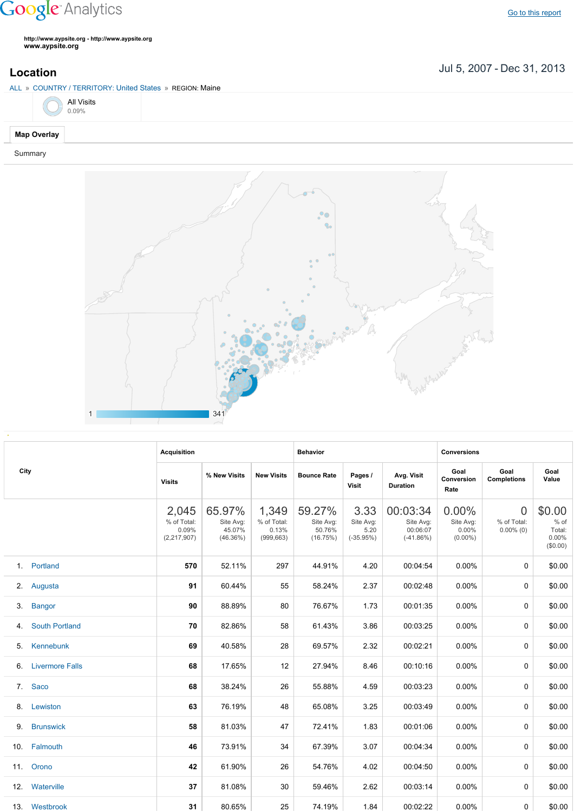## **Google** Analytics

**http://www.aypsite.org http://www.aypsite.org www.aypsite.org**

Jul 5, 2007 Dec 31, 2013 **Location**





|    | City                   | <b>Acquisition</b>                             |                                           |                                             | <b>Behavior</b>                           |                                          |                                                  | <b>Conversions</b>                        |                                               |                                               |  |
|----|------------------------|------------------------------------------------|-------------------------------------------|---------------------------------------------|-------------------------------------------|------------------------------------------|--------------------------------------------------|-------------------------------------------|-----------------------------------------------|-----------------------------------------------|--|
|    |                        | <b>Visits</b>                                  | % New Visits                              | <b>New Visits</b>                           | <b>Bounce Rate</b>                        | Pages /<br><b>Visit</b>                  | Avg. Visit<br><b>Duration</b>                    | Goal<br><b>Conversion</b><br>Rate         | Goal<br><b>Completions</b>                    | Goal<br>Value                                 |  |
|    |                        | 2,045<br>% of Total:<br>0.09%<br>(2, 217, 907) | 65.97%<br>Site Avg:<br>45.07%<br>(46.36%) | 1,349<br>% of Total:<br>0.13%<br>(999, 663) | 59.27%<br>Site Avg:<br>50.76%<br>(16.75%) | 3.33<br>Site Avg:<br>5.20<br>$(-35.95%)$ | 00:03:34<br>Site Avg:<br>00:06:07<br>$(-41.86%)$ | 0.00%<br>Site Avg:<br>0.00%<br>$(0.00\%)$ | $\overline{0}$<br>% of Total:<br>$0.00\%$ (0) | \$0.00<br>% of<br>Total:<br>0.00%<br>(\$0.00) |  |
|    | 1. Portland            | 570                                            | 52.11%                                    | 297                                         | 44.91%                                    | 4.20                                     | 00:04:54                                         | 0.00%                                     | 0                                             | \$0.00                                        |  |
| 2. | Augusta                | 91                                             | 60.44%                                    | 55                                          | 58.24%                                    | 2.37                                     | 00:02:48                                         | 0.00%                                     | 0                                             | \$0.00                                        |  |
| 3. | Bangor                 | 90                                             | 88.89%                                    | 80                                          | 76.67%                                    | 1.73                                     | 00:01:35                                         | 0.00%                                     | 0                                             | \$0.00                                        |  |
| 4. | <b>South Portland</b>  | 70                                             | 82.86%                                    | 58                                          | 61.43%                                    | 3.86                                     | 00:03:25                                         | 0.00%                                     | 0                                             | \$0.00                                        |  |
| 5. | Kennebunk              | 69                                             | 40.58%                                    | 28                                          | 69.57%                                    | 2.32                                     | 00:02:21                                         | 0.00%                                     | 0                                             | \$0.00                                        |  |
| 6. | <b>Livermore Falls</b> | 68                                             | 17.65%                                    | 12                                          | 27.94%                                    | 8.46                                     | 00:10:16                                         | 0.00%                                     | 0                                             | \$0.00                                        |  |
|    | 7. Saco                | 68                                             | 38.24%                                    | 26                                          | 55.88%                                    | 4.59                                     | 00:03:23                                         | 0.00%                                     | 0                                             | \$0.00                                        |  |
|    | 8. Lewiston            | 63                                             | 76.19%                                    | 48                                          | 65.08%                                    | 3.25                                     | 00:03:49                                         | 0.00%                                     | 0                                             | \$0.00                                        |  |
|    | 9. Brunswick           | 58                                             | 81.03%                                    | 47                                          | 72.41%                                    | 1.83                                     | 00:01:06                                         | 0.00%                                     | 0                                             | \$0.00                                        |  |
|    | 10. Falmouth           | 46                                             | 73.91%                                    | 34                                          | 67.39%                                    | 3.07                                     | 00:04:34                                         | 0.00%                                     | 0                                             | \$0.00                                        |  |
|    | 11. Orono              | 42                                             | 61.90%                                    | 26                                          | 54.76%                                    | 4.02                                     | 00:04:50                                         | 0.00%                                     | 0                                             | \$0.00                                        |  |
|    | 12. Waterville         | 37                                             | 81.08%                                    | 30                                          | 59.46%                                    | 2.62                                     | 00:03:14                                         | 0.00%                                     | 0                                             | \$0.00                                        |  |
|    | 13. Westbrook          | 31                                             | 80.65%                                    | 25                                          | 74.19%                                    | 1.84                                     | 00:02:22                                         | $0.00\%$                                  | 0                                             | \$0.00                                        |  |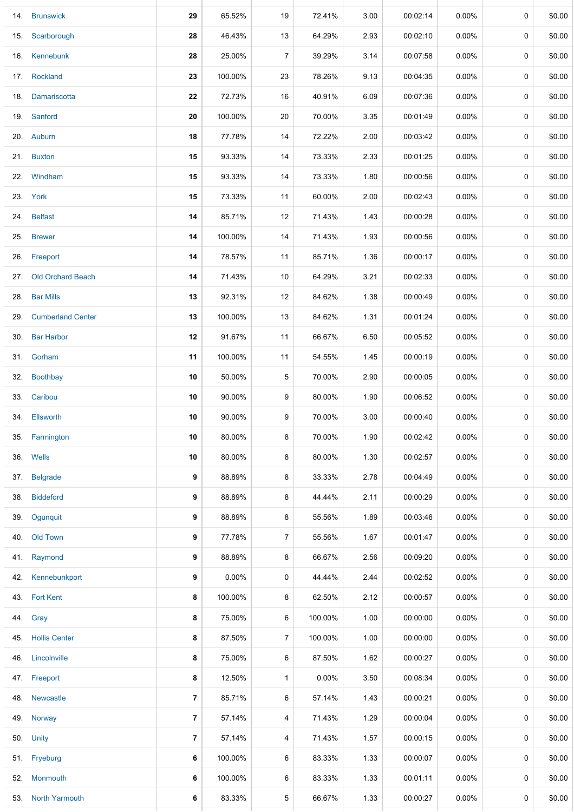| 14. Brunswick         | 29 | 65.52%  | 19             | 72.41%  | 3.00 | 00:02:14 | 0.00%    | 0           | \$0.00 |
|-----------------------|----|---------|----------------|---------|------|----------|----------|-------------|--------|
| 15. Scarborough       | 28 | 46.43%  | 13             | 64.29%  | 2.93 | 00:02:10 | $0.00\%$ | 0           | \$0.00 |
| 16. Kennebunk         | 28 | 25.00%  | 7              | 39.29%  | 3.14 | 00:07:58 | 0.00%    | 0           | \$0.00 |
| 17. Rockland          | 23 | 100.00% | 23             | 78.26%  | 9.13 | 00:04:35 | 0.00%    | 0           | \$0.00 |
| 18. Damariscotta      | 22 | 72.73%  | 16             | 40.91%  | 6.09 | 00:07:36 | 0.00%    | 0           | \$0.00 |
| 19. Sanford           | 20 | 100.00% | 20             | 70.00%  | 3.35 | 00:01:49 | $0.00\%$ | 0           | \$0.00 |
| 20. Auburn            | 18 | 77.78%  | 14             | 72.22%  | 2.00 | 00:03:42 | $0.00\%$ | 0           | \$0.00 |
| 21. Buxton            | 15 | 93.33%  | 14             | 73.33%  | 2.33 | 00:01:25 | $0.00\%$ | 0           | \$0.00 |
| 22. Windham           | 15 | 93.33%  | 14             | 73.33%  | 1.80 | 00:00:56 | $0.00\%$ | 0           | \$0.00 |
| 23. York              | 15 | 73.33%  | 11             | 60.00%  | 2.00 | 00:02:43 | $0.00\%$ | 0           | \$0.00 |
| 24. Belfast           | 14 | 85.71%  | 12             | 71.43%  | 1.43 | 00:00:28 | $0.00\%$ | 0           | \$0.00 |
| 25. Brewer            | 14 | 100.00% | 14             | 71.43%  | 1.93 | 00:00:56 | 0.00%    | 0           | \$0.00 |
| 26. Freeport          | 14 | 78.57%  | 11             | 85.71%  | 1.36 | 00:00:17 | $0.00\%$ | 0           | \$0.00 |
| 27. Old Orchard Beach | 14 | 71.43%  | 10             | 64.29%  | 3.21 | 00:02:33 | $0.00\%$ | 0           | \$0.00 |
| 28. Bar Mills         | 13 | 92.31%  | 12             | 84.62%  | 1.38 | 00:00:49 | $0.00\%$ | 0           | \$0.00 |
| 29. Cumberland Center | 13 | 100.00% | 13             | 84.62%  | 1.31 | 00:01:24 | 0.00%    | 0           | \$0.00 |
| 30. Bar Harbor        | 12 | 91.67%  | 11             | 66.67%  | 6.50 | 00:05:52 | 0.00%    | 0           | \$0.00 |
| 31. Gorham            | 11 | 100.00% | 11             | 54.55%  | 1.45 | 00:00:19 | 0.00%    | 0           | \$0.00 |
| 32. Boothbay          | 10 | 50.00%  | 5              | 70.00%  | 2.90 | 00:00:05 | $0.00\%$ | 0           | \$0.00 |
| 33. Caribou           | 10 | 90.00%  | 9              | 80.00%  | 1.90 | 00:06:52 | 0.00%    | 0           | \$0.00 |
| 34. Ellsworth         | 10 | 90.00%  | 9              | 70.00%  | 3.00 | 00:00:40 | $0.00\%$ | 0           | \$0.00 |
| 35. Farmington        | 10 | 80.00%  | 8              | 70.00%  | 1.90 | 00:02:42 | $0.00\%$ | 0           | \$0.00 |
| 36. Wells             | 10 | 80.00%  | 8              | 80.00%  | 1.30 | 00:02:57 | $0.00\%$ | $\mathbf 0$ | \$0.00 |
| 37. Belgrade          | 9  | 88.89%  | 8              | 33.33%  | 2.78 | 00:04:49 | $0.00\%$ | 0           | \$0.00 |
| 38. Biddeford         | 9  | 88.89%  | 8              | 44.44%  | 2.11 | 00:00:29 | 0.00%    | 0           | \$0.00 |
| 39. Ogunquit          | 9  | 88.89%  | 8              | 55.56%  | 1.89 | 00:03:46 | $0.00\%$ | 0           | \$0.00 |
| 40. Old Town          | 9  | 77.78%  | $\overline{7}$ | 55.56%  | 1.67 | 00:01:47 | $0.00\%$ | 0           | \$0.00 |
| 41. Raymond           | 9  | 88.89%  | 8              | 66.67%  | 2.56 | 00:09:20 | $0.00\%$ | 0           | \$0.00 |
| 42. Kennebunkport     | 9  | 0.00%   | 0              | 44.44%  | 2.44 | 00:02:52 | 0.00%    | 0           | \$0.00 |
| 43. Fort Kent         | 8  | 100.00% | 8              | 62.50%  | 2.12 | 00:00:57 | 0.00%    | 0           | \$0.00 |
| 44. Gray              | 8  | 75.00%  | 6              | 100.00% | 1.00 | 00:00:00 | 0.00%    | 0           | \$0.00 |
| 45. Hollis Center     | 8  | 87.50%  | $\overline{7}$ | 100.00% | 1.00 | 00:00:00 | 0.00%    | 0           | \$0.00 |
| 46. Lincolnville      | 8  | 75.00%  | 6              | 87.50%  | 1.62 | 00:00:27 | $0.00\%$ | $\mathbf 0$ | \$0.00 |
| 47. Freeport          | 8  | 12.50%  | $\mathbf{1}$   | 0.00%   | 3.50 | 00:08:34 | 0.00%    | 0           | \$0.00 |
| 48. Newcastle         | 7  | 85.71%  | 6              | 57.14%  | 1.43 | 00:00:21 | 0.00%    | 0           | \$0.00 |
| 49. Norway            | 7  | 57.14%  | 4              | 71.43%  | 1.29 | 00:00:04 | 0.00%    | 0           | \$0.00 |
| 50. Unity             | 7  | 57.14%  | 4              | 71.43%  | 1.57 | 00:00:15 | 0.00%    | 0           | \$0.00 |
| 51. Fryeburg          | 6  | 100.00% | 6              | 83.33%  | 1.33 | 00:00:07 | $0.00\%$ | 0           | \$0.00 |
| 52. Monmouth          | 6  | 100.00% | 6              | 83.33%  | 1.33 | 00:01:11 | $0.00\%$ | 0           | \$0.00 |
| 53. North Yarmouth    | 6  | 83.33%  | 5              | 66.67%  | 1.33 | 00:00:27 | $0.00\%$ | 0           | \$0.00 |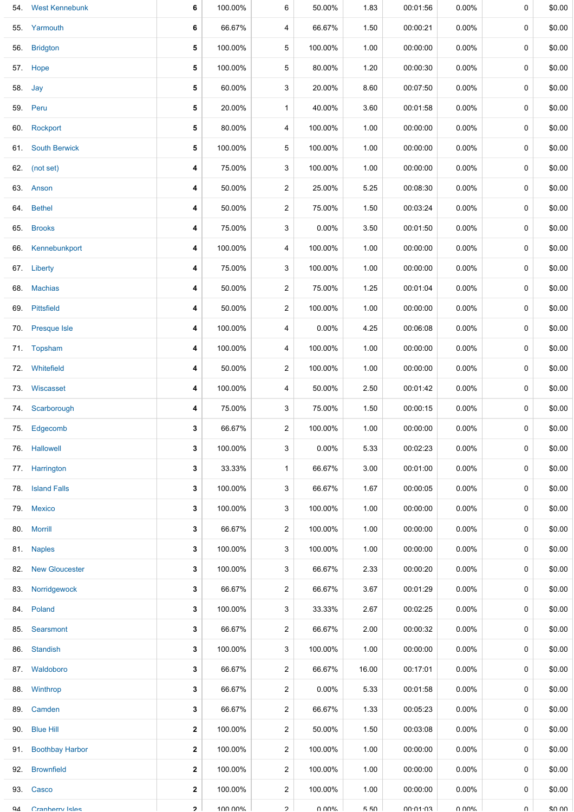|     | 54. West Kennebunk     | 6            | 100.00% | 6              | 50.00%   | 1.83  | 00:01:56 | $0.00\%$ | 0 | \$0.00 |
|-----|------------------------|--------------|---------|----------------|----------|-------|----------|----------|---|--------|
| 55. | Yarmouth               | 6            | 66.67%  | 4              | 66.67%   | 1.50  | 00:00:21 | $0.00\%$ | 0 | \$0.00 |
| 56. | <b>Bridgton</b>        | 5            | 100.00% | 5              | 100.00%  | 1.00  | 00:00:00 | $0.00\%$ | 0 | \$0.00 |
|     | 57. Hope               | 5            | 100.00% | 5              | 80.00%   | 1.20  | 00:00:30 | $0.00\%$ | 0 | \$0.00 |
|     | 58. Jay                | 5            | 60.00%  | 3              | 20.00%   | 8.60  | 00:07:50 | $0.00\%$ | 0 | \$0.00 |
|     | 59. Peru               | 5            | 20.00%  | $\mathbf{1}$   | 40.00%   | 3.60  | 00:01:58 | $0.00\%$ | 0 | \$0.00 |
| 60. | Rockport               | 5            | 80.00%  | 4              | 100.00%  | 1.00  | 00:00:00 | $0.00\%$ | 0 | \$0.00 |
|     | 61. South Berwick      | 5            | 100.00% | 5              | 100.00%  | 1.00  | 00:00:00 | $0.00\%$ | 0 | \$0.00 |
|     | 62. (not set)          | 4            | 75.00%  | 3              | 100.00%  | 1.00  | 00:00:00 | $0.00\%$ | 0 | \$0.00 |
|     | 63. Anson              | 4            | 50.00%  | $\overline{a}$ | 25.00%   | 5.25  | 00:08:30 | $0.00\%$ | 0 | \$0.00 |
|     | 64. Bethel             | 4            | 50.00%  | 2              | 75.00%   | 1.50  | 00:03:24 | $0.00\%$ | 0 | \$0.00 |
|     | 65. Brooks             | 4            | 75.00%  | 3              | $0.00\%$ | 3.50  | 00:01:50 | $0.00\%$ | 0 | \$0.00 |
| 66. | Kennebunkport          | 4            | 100.00% | 4              | 100.00%  | 1.00  | 00:00:00 | $0.00\%$ | 0 | \$0.00 |
|     | 67. Liberty            | 4            | 75.00%  | 3              | 100.00%  | 1.00  | 00:00:00 | $0.00\%$ | 0 | \$0.00 |
| 68. | <b>Machias</b>         | 4            | 50.00%  | 2              | 75.00%   | 1.25  | 00:01:04 | $0.00\%$ | 0 | \$0.00 |
|     | 69. Pittsfield         | 4            | 50.00%  | 2              | 100.00%  | 1.00  | 00:00:00 | 0.00%    | 0 | \$0.00 |
| 70. | <b>Presque Isle</b>    | 4            | 100.00% | 4              | $0.00\%$ | 4.25  | 00:06:08 | $0.00\%$ | 0 | \$0.00 |
|     | 71. Topsham            | 4            | 100.00% | 4              | 100.00%  | 1.00  | 00:00:00 | $0.00\%$ | 0 | \$0.00 |
|     | 72. Whitefield         | 4            | 50.00%  | 2              | 100.00%  | 1.00  | 00:00:00 | $0.00\%$ | 0 | \$0.00 |
|     | 73. Wiscasset          | 4            | 100.00% | 4              | 50.00%   | 2.50  | 00:01:42 | $0.00\%$ | 0 | \$0.00 |
|     | 74. Scarborough        | 4            | 75.00%  | 3              | 75.00%   | 1.50  | 00:00:15 | $0.00\%$ | 0 | \$0.00 |
| 75. | Edgecomb               | 3            | 66.67%  | $\overline{2}$ | 100.00%  | 1.00  | 00:00:00 | $0.00\%$ | 0 | \$0.00 |
|     | 76. Hallowell          | 3            | 100.00% | 3              | 0.00%    | 5.33  | 00:02:23 | $0.00\%$ | 0 | \$0.00 |
| 77. | Harrington             | 3            | 33.33%  | $\mathbf{1}$   | 66.67%   | 3.00  | 00:01:00 | $0.00\%$ | 0 | \$0.00 |
| 78. | <b>Island Falls</b>    | 3            | 100.00% | 3              | 66.67%   | 1.67  | 00:00:05 | $0.00\%$ | 0 | \$0.00 |
| 79. | <b>Mexico</b>          | 3            | 100.00% | 3              | 100.00%  | 1.00  | 00:00:00 | $0.00\%$ | 0 | \$0.00 |
|     | 80. Morrill            | 3            | 66.67%  | $\overline{2}$ | 100.00%  | 1.00  | 00:00:00 | $0.00\%$ | 0 | \$0.00 |
|     | 81. Naples             | 3            | 100.00% | 3              | 100.00%  | 1.00  | 00:00:00 | $0.00\%$ | 0 | \$0.00 |
| 82. | <b>New Gloucester</b>  | 3            | 100.00% | 3              | 66.67%   | 2.33  | 00:00:20 | $0.00\%$ | 0 | \$0.00 |
| 83. | Norridgewock           | 3            | 66.67%  | $\overline{2}$ | 66.67%   | 3.67  | 00:01:29 | $0.00\%$ | 0 | \$0.00 |
|     | 84. Poland             | 3            | 100.00% | 3              | 33.33%   | 2.67  | 00:02:25 | $0.00\%$ | 0 | \$0.00 |
| 85. | Searsmont              | 3            | 66.67%  | $\overline{2}$ | 66.67%   | 2.00  | 00:00:32 | 0.00%    | 0 | \$0.00 |
| 86. | <b>Standish</b>        | 3            | 100.00% | 3              | 100.00%  | 1.00  | 00:00:00 | $0.00\%$ | 0 | \$0.00 |
| 87. | Waldoboro              | 3            | 66.67%  | $\overline{2}$ | 66.67%   | 16.00 | 00:17:01 | $0.00\%$ | 0 | \$0.00 |
| 88. | Winthrop               | 3            | 66.67%  | $\overline{2}$ | 0.00%    | 5.33  | 00:01:58 | $0.00\%$ | 0 | \$0.00 |
|     | 89. Camden             | 3            | 66.67%  | 2              | 66.67%   | 1.33  | 00:05:23 | $0.00\%$ | 0 | \$0.00 |
| 90. | <b>Blue Hill</b>       | $\mathbf{2}$ | 100.00% | $\overline{2}$ | 50.00%   | 1.50  | 00:03:08 | $0.00\%$ | 0 | \$0.00 |
| 91. | <b>Boothbay Harbor</b> | 2            | 100.00% | $\overline{a}$ | 100.00%  | 1.00  | 00:00:00 | $0.00\%$ | 0 | \$0.00 |
| 92. | <b>Brownfield</b>      | $\mathbf{2}$ | 100.00% | $\overline{a}$ | 100.00%  | 1.00  | 00:00:00 | $0.00\%$ | 0 | \$0.00 |
|     | 93. Casco              | 2            | 100.00% | 2              | 100.00%  | 1.00  | 00:00:00 | $0.00\%$ | 0 | \$0.00 |
| QΔ  | Cranherry Isles        | $\mathbf{p}$ | 100 00% | $\mathcal{P}$  | በ በበ%    | 550   | 00:01:03 | ለ በሀል    | U | ደበ በበ  |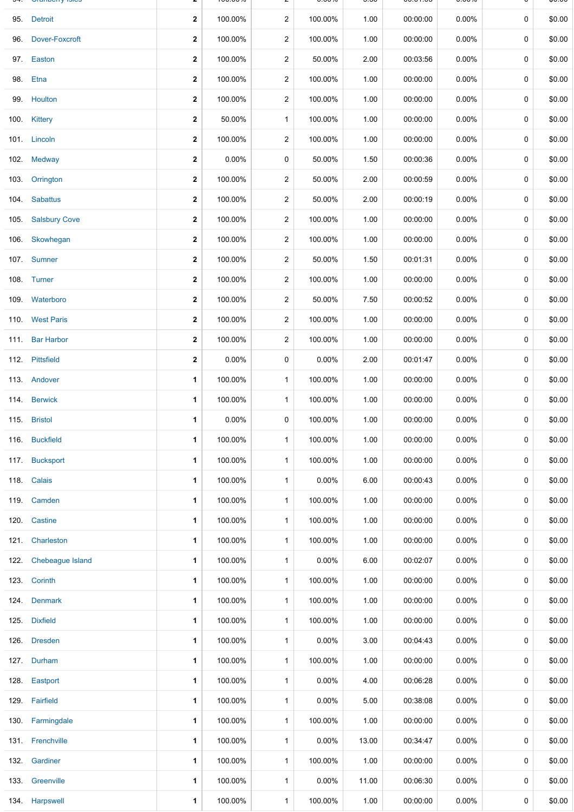|      | <b>URTINGTY ISICS</b> |              | 100.0070 |                | <b>0.0070</b> | ⊽.⊽⊽  | 00.01.00 | <b>0.000</b> |   | ψυ.υυ  |
|------|-----------------------|--------------|----------|----------------|---------------|-------|----------|--------------|---|--------|
|      | 95. Detroit           | $\mathbf 2$  | 100.00%  | $\overline{2}$ | 100.00%       | 1.00  | 00:00:00 | $0.00\%$     | 0 | \$0.00 |
| 96.  | Dover-Foxcroft        | $\mathbf{2}$ | 100.00%  | $\overline{a}$ | 100.00%       | 1.00  | 00:00:00 | $0.00\%$     | 0 | \$0.00 |
|      | 97. Easton            | $\mathbf 2$  | 100.00%  | 2              | 50.00%        | 2.00  | 00:03:56 | $0.00\%$     | 0 | \$0.00 |
|      | 98. Etna              | $\mathbf 2$  | 100.00%  | $\overline{2}$ | 100.00%       | 1.00  | 00:00:00 | $0.00\%$     | 0 | \$0.00 |
|      | 99. Houlton           | $\mathbf 2$  | 100.00%  | $\overline{2}$ | 100.00%       | 1.00  | 00:00:00 | $0.00\%$     | 0 | \$0.00 |
|      | 100. Kittery          | $\mathbf{2}$ | 50.00%   | $\mathbf{1}$   | 100.00%       | 1.00  | 00:00:00 | $0.00\%$     | 0 | \$0.00 |
|      | 101. Lincoln          | $\mathbf 2$  | 100.00%  | $\overline{2}$ | 100.00%       | 1.00  | 00:00:00 | $0.00\%$     | 0 | \$0.00 |
|      | 102. Medway           | 2            | 0.00%    | 0              | 50.00%        | 1.50  | 00:00:36 | $0.00\%$     | 0 | \$0.00 |
|      | 103. Orrington        | $\mathbf{2}$ | 100.00%  | $\overline{a}$ | 50.00%        | 2.00  | 00:00:59 | $0.00\%$     | 0 | \$0.00 |
|      | 104. Sabattus         | 2            | 100.00%  | $\overline{2}$ | 50.00%        | 2.00  | 00:00:19 | $0.00\%$     | 0 | \$0.00 |
|      | 105. Salsbury Cove    | $\mathbf 2$  | 100.00%  | $\overline{2}$ | 100.00%       | 1.00  | 00:00:00 | $0.00\%$     | 0 | \$0.00 |
|      | 106. Skowhegan        | 2            | 100.00%  | $\overline{2}$ | 100.00%       | 1.00  | 00:00:00 | $0.00\%$     | 0 | \$0.00 |
|      | 107. Sumner           | $\mathbf{2}$ | 100.00%  | $\overline{2}$ | 50.00%        | 1.50  | 00:01:31 | $0.00\%$     | 0 | \$0.00 |
|      | 108. Turner           | 2            | 100.00%  | $\overline{2}$ | 100.00%       | 1.00  | 00:00:00 | $0.00\%$     | 0 | \$0.00 |
|      | 109. Waterboro        | 2            | 100.00%  | $\overline{2}$ | 50.00%        | 7.50  | 00:00:52 | $0.00\%$     | 0 | \$0.00 |
|      | 110. West Paris       | $\mathbf 2$  | 100.00%  | $\overline{2}$ | 100.00%       | 1.00  | 00:00:00 | $0.00\%$     | 0 | \$0.00 |
|      | 111. Bar Harbor       | $\mathbf{2}$ | 100.00%  | $\overline{a}$ | 100.00%       | 1.00  | 00:00:00 | $0.00\%$     | 0 | \$0.00 |
|      | 112. Pittsfield       | 2            | $0.00\%$ | 0              | 0.00%         | 2.00  | 00:01:47 | $0.00\%$     | 0 | \$0.00 |
|      | 113. Andover          | 1            | 100.00%  | $\mathbf{1}$   | 100.00%       | 1.00  | 00:00:00 | $0.00\%$     | 0 | \$0.00 |
|      | 114. Berwick          | 1            | 100.00%  | $\mathbf{1}$   | 100.00%       | 1.00  | 00:00:00 | $0.00\%$     | 0 | \$0.00 |
|      | 115. Bristol          | 1            | 0.00%    | 0              | 100.00%       | 1.00  | 00:00:00 | $0.00\%$     | 0 | \$0.00 |
|      | 116. Buckfield        | 1            | 100.00%  | $\mathbf{1}$   | 100.00%       | 1.00  | 00:00:00 | 0.00%        | 0 | \$0.00 |
|      | 117. Bucksport        | 1            | 100.00%  | $\mathbf{1}$   | 100.00%       | 1.00  | 00:00:00 | 0.00%        | 0 | \$0.00 |
|      | 118. Calais           | 1            | 100.00%  | $\mathbf{1}$   | 0.00%         | 6.00  | 00:00:43 | $0.00\%$     | 0 | \$0.00 |
|      | 119. Camden           | 1            | 100.00%  | $\mathbf{1}$   | 100.00%       | 1.00  | 00:00:00 | $0.00\%$     | 0 | \$0.00 |
|      | 120. Castine          | 1            | 100.00%  | $\mathbf{1}$   | 100.00%       | 1.00  | 00:00:00 | $0.00\%$     | 0 | \$0.00 |
|      | 121. Charleston       | 1            | 100.00%  | $\mathbf{1}$   | 100.00%       | 1.00  | 00:00:00 | $0.00\%$     | 0 | \$0.00 |
|      | 122. Chebeague Island | 1            | 100.00%  | $\mathbf{1}$   | $0.00\%$      | 6.00  | 00:02:07 | $0.00\%$     | 0 | \$0.00 |
|      | 123. Corinth          | 1            | 100.00%  | $\mathbf{1}$   | 100.00%       | 1.00  | 00:00:00 | $0.00\%$     | 0 | \$0.00 |
|      | 124. Denmark          | 1            | 100.00%  | $\mathbf{1}$   | 100.00%       | 1.00  | 00:00:00 | $0.00\%$     | 0 | \$0.00 |
|      | 125. Dixfield         | 1            | 100.00%  | $\mathbf{1}$   | 100.00%       | 1.00  | 00:00:00 | $0.00\%$     | 0 | \$0.00 |
|      | 126. Dresden          | 1            | 100.00%  | $\mathbf{1}$   | $0.00\%$      | 3.00  | 00:04:43 | $0.00\%$     | 0 | \$0.00 |
|      | 127. Durham           | 1            | 100.00%  | $\mathbf{1}$   | 100.00%       | 1.00  | 00:00:00 | $0.00\%$     | 0 | \$0.00 |
| 128. | Eastport              | 1            | 100.00%  | $\mathbf{1}$   | $0.00\%$      | 4.00  | 00:06:28 | 0.00%        | 0 | \$0.00 |
|      | 129. Fairfield        | 1            | 100.00%  | $\mathbf{1}$   | 0.00%         | 5.00  | 00:38:08 | $0.00\%$     | 0 | \$0.00 |
|      | 130. Farmingdale      | 1            | 100.00%  | $\mathbf{1}$   | 100.00%       | 1.00  | 00:00:00 | $0.00\%$     | 0 | \$0.00 |
|      | 131. Frenchville      | 1            | 100.00%  | $\mathbf{1}$   | $0.00\%$      | 13.00 | 00:34:47 | $0.00\%$     | 0 | \$0.00 |
|      | 132. Gardiner         | 1            | 100.00%  | $\mathbf{1}$   | 100.00%       | 1.00  | 00:00:00 | 0.00%        | 0 | \$0.00 |
| 133. | Greenville            | 1            | 100.00%  | $\mathbf{1}$   | 0.00%         | 11.00 | 00:06:30 | $0.00\%$     | 0 | \$0.00 |
|      | 134. Harpswell        | 1            | 100.00%  | $\mathbf{1}$   | 100.00%       | 1.00  | 00:00:00 | 0.00%        | 0 | \$0.00 |